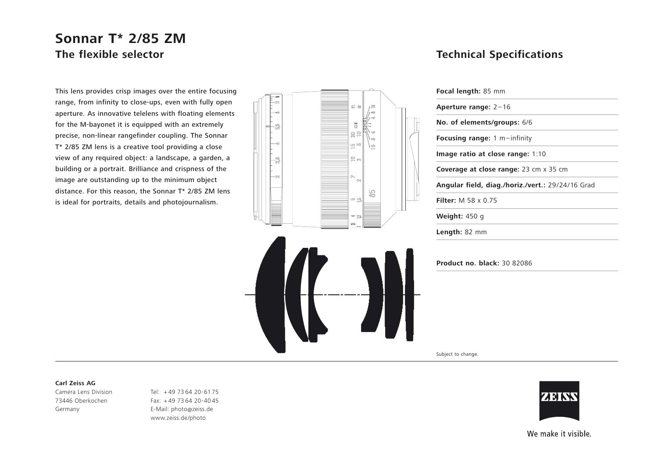# **Sonnar T\* 2/85 ZM The flexible selector**

This lens provides crisp images over the entire focusing range, from infinity to close-ups, even with fully open aperture. As innovative telelens with floating elements for the M-bayonet it is equipped with an extremely precise, non-linear rangefinder coupling. The Sonnar T\* 2/85 ZM lens is a creative tool providing a close view of any required object: a landscape, a garden, a building or a portrait. Brilliance and crispness of the image are outstanding up to the minimum object distance. For this reason, the Sonnar T\* 2/85 ZM lens is ideal for portraits, details and photojournalism.



### **Technical Specifications**

| Aperture range: $2-16$<br>No. of elements/groups: 6/6<br><b>Focusing range:</b> 1 m-infinity |
|----------------------------------------------------------------------------------------------|
|                                                                                              |
|                                                                                              |
|                                                                                              |
| Image ratio at close range: 1:10                                                             |
| <b>Coverage at close range:</b> 23 cm x 35 cm                                                |
| Angular field, diag./horiz./vert.: 29/24/16 Grad                                             |
| Filter: $M$ 58 x 0.75                                                                        |
| <b>Weight:</b> 450 g                                                                         |
| <b>Length:</b> 82 mm                                                                         |

**Product no. black:** 30 82086

Subject to change.

#### **Carl Zeiss AG**

Camera Lens Division 73446 Oberkochen Germany

Tel: <sup>+</sup> 49 73 64 20-61 75 Fax: + 49 73 64 20-40 45 E-Mail: photo@zeiss.de www.zeiss.de/photo



We make it visible.